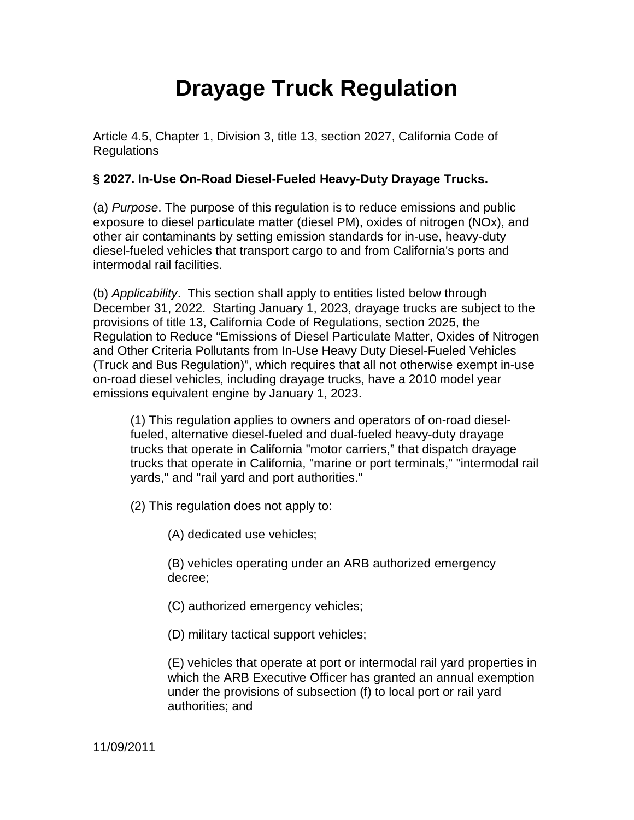# **Drayage Truck Regulation**

Article 4.5, Chapter 1, Division 3, title 13, section 2027, California Code of Regulations

## **§ 2027. In-Use On-Road Diesel-Fueled Heavy-Duty Drayage Trucks.**

(a) Purpose. The purpose of this regulation is to reduce emissions and public exposure to diesel particulate matter (diesel PM), oxides of nitrogen (NOx), and other air contaminants by setting emission standards for in-use, heavy-duty diesel-fueled vehicles that transport cargo to and from California's ports and intermodal rail facilities.

(b) Applicability.This section shall apply to entities listed below through December 31, 2022. Starting January 1, 2023, drayage trucks are subject to the provisions of title 13, California Code of Regulations, section 2025, the Regulation to Reduce "Emissions of Diesel Particulate Matter, Oxides of Nitrogen and Other Criteria Pollutants from In-Use Heavy Duty Diesel-Fueled Vehicles (Truck and Bus Regulation)", which requires that all not otherwise exempt in-use on-road diesel vehicles, including drayage trucks, have a 2010 model year emissions equivalent engine by January 1, 2023.

(1) This regulation applies to owners and operators of on-road dieselfueled, alternative diesel-fueled and dual-fueled heavy-duty drayage trucks that operate in California "motor carriers," that dispatch drayage trucks that operate in California, "marine or port terminals," "intermodal rail yards," and "rail yard and port authorities."

(2) This regulation does not apply to:

(A) dedicated use vehicles;

(B) vehicles operating under an ARB authorized emergency decree;

(C) authorized emergency vehicles;

(D) military tactical support vehicles;

(E) vehicles that operate at port or intermodal rail yard properties in which the ARB Executive Officer has granted an annual exemption under the provisions of subsection (f) to local port or rail yard authorities; and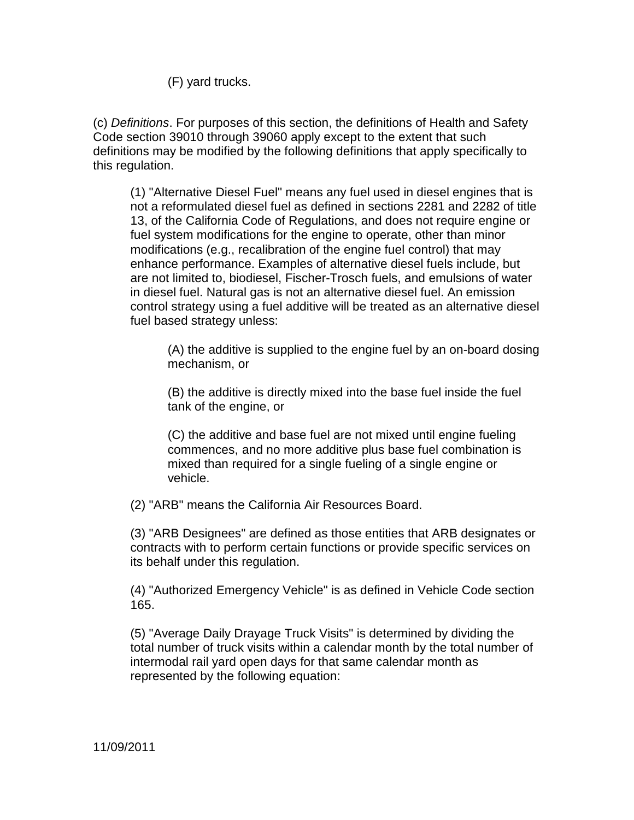(F) yard trucks.

(c) Definitions. For purposes of this section, the definitions of Health and Safety Code section 39010 through 39060 apply except to the extent that such definitions may be modified by the following definitions that apply specifically to this regulation.

 (1) "Alternative Diesel Fuel" means any fuel used in diesel engines that is not a reformulated diesel fuel as defined in sections 2281 and 2282 of title 13, of the California Code of Regulations, and does not require engine or fuel system modifications for the engine to operate, other than minor modifications (e.g., recalibration of the engine fuel control) that may enhance performance. Examples of alternative diesel fuels include, but are not limited to, biodiesel, Fischer-Trosch fuels, and emulsions of water in diesel fuel. Natural gas is not an alternative diesel fuel. An emission control strategy using a fuel additive will be treated as an alternative diesel fuel based strategy unless:

 (A) the additive is supplied to the engine fuel by an on-board dosing mechanism, or

(B) the additive is directly mixed into the base fuel inside the fuel tank of the engine, or

(C) the additive and base fuel are not mixed until engine fueling commences, and no more additive plus base fuel combination is mixed than required for a single fueling of a single engine or vehicle.

(2) "ARB" means the California Air Resources Board.

(3) "ARB Designees" are defined as those entities that ARB designates or contracts with to perform certain functions or provide specific services on its behalf under this regulation.

(4) "Authorized Emergency Vehicle" is as defined in Vehicle Code section 165.

(5) "Average Daily Drayage Truck Visits" is determined by dividing the total number of truck visits within a calendar month by the total number of intermodal rail yard open days for that same calendar month as represented by the following equation: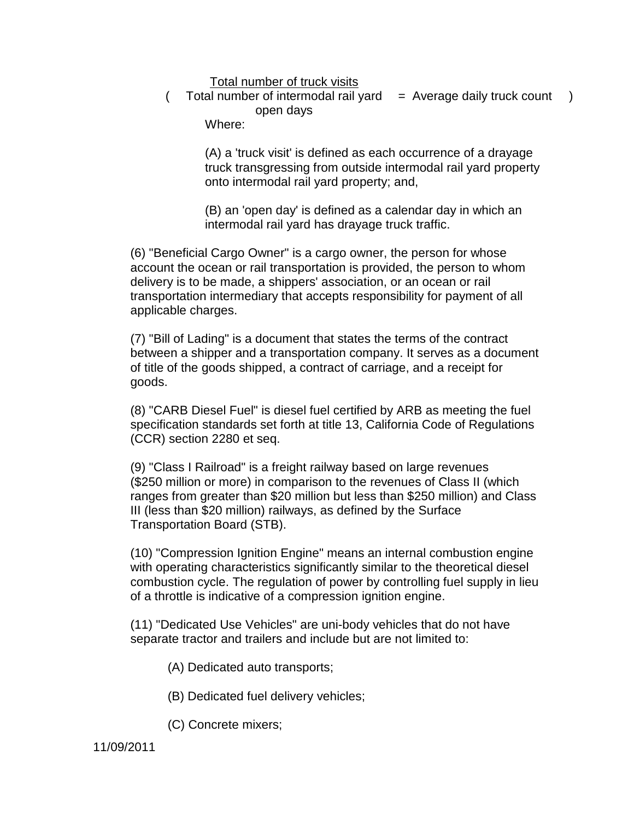#### Total number of truck visits

( Total number of intermodal rail yard = Average daily truck count ) open days

Where:

(A) a 'truck visit' is defined as each occurrence of a drayage truck transgressing from outside intermodal rail yard property onto intermodal rail yard property; and,

(B) an 'open day' is defined as a calendar day in which an intermodal rail yard has drayage truck traffic.

(6) "Beneficial Cargo Owner" is a cargo owner, the person for whose account the ocean or rail transportation is provided, the person to whom delivery is to be made, a shippers' association, or an ocean or rail transportation intermediary that accepts responsibility for payment of all applicable charges.

(7) "Bill of Lading" is a document that states the terms of the contract between a shipper and a transportation company. It serves as a document of title of the goods shipped, a contract of carriage, and a receipt for goods.

(8) "CARB Diesel Fuel" is diesel fuel certified by ARB as meeting the fuel specification standards set forth at title 13, California Code of Regulations (CCR) section 2280 et seq.

(9) "Class I Railroad" is a freight railway based on large revenues (\$250 million or more) in comparison to the revenues of Class II (which ranges from greater than \$20 million but less than \$250 million) and Class III (less than \$20 million) railways, as defined by the Surface Transportation Board (STB).

(10) "Compression Ignition Engine" means an internal combustion engine with operating characteristics significantly similar to the theoretical diesel combustion cycle. The regulation of power by controlling fuel supply in lieu of a throttle is indicative of a compression ignition engine.

(11) "Dedicated Use Vehicles" are uni-body vehicles that do not have separate tractor and trailers and include but are not limited to:

- (A) Dedicated auto transports;
- (B) Dedicated fuel delivery vehicles;
- (C) Concrete mixers;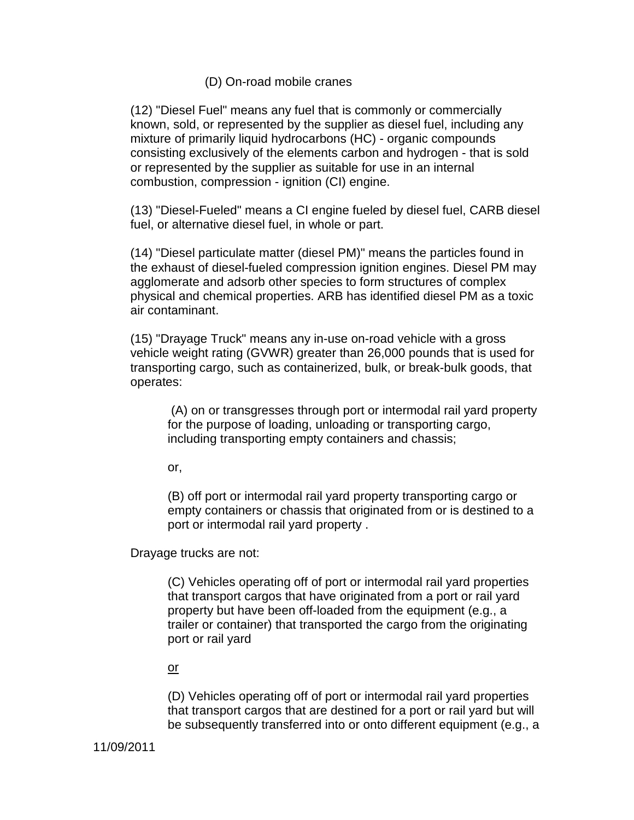### (D) On-road mobile cranes

(12) "Diesel Fuel" means any fuel that is commonly or commercially known, sold, or represented by the supplier as diesel fuel, including any mixture of primarily liquid hydrocarbons (HC) - organic compounds consisting exclusively of the elements carbon and hydrogen - that is sold or represented by the supplier as suitable for use in an internal combustion, compression - ignition (CI) engine.

(13) "Diesel-Fueled" means a CI engine fueled by diesel fuel, CARB diesel fuel, or alternative diesel fuel, in whole or part.

(14) "Diesel particulate matter (diesel PM)" means the particles found in the exhaust of diesel-fueled compression ignition engines. Diesel PM may agglomerate and adsorb other species to form structures of complex physical and chemical properties. ARB has identified diesel PM as a toxic air contaminant.

(15) "Drayage Truck" means any in-use on-road vehicle with a gross vehicle weight rating (GVWR) greater than 26,000 pounds that is used for transporting cargo, such as containerized, bulk, or break-bulk goods, that operates:

 (A) on or transgresses through port or intermodal rail yard property for the purpose of loading, unloading or transporting cargo, including transporting empty containers and chassis;

or,

(B) off port or intermodal rail yard property transporting cargo or empty containers or chassis that originated from or is destined to a port or intermodal rail yard property .

Drayage trucks are not:

(C) Vehicles operating off of port or intermodal rail yard properties that transport cargos that have originated from a port or rail yard property but have been off-loaded from the equipment (e.g., a trailer or container) that transported the cargo from the originating port or rail yard

or

(D) Vehicles operating off of port or intermodal rail yard properties that transport cargos that are destined for a port or rail yard but will be subsequently transferred into or onto different equipment (e.g., a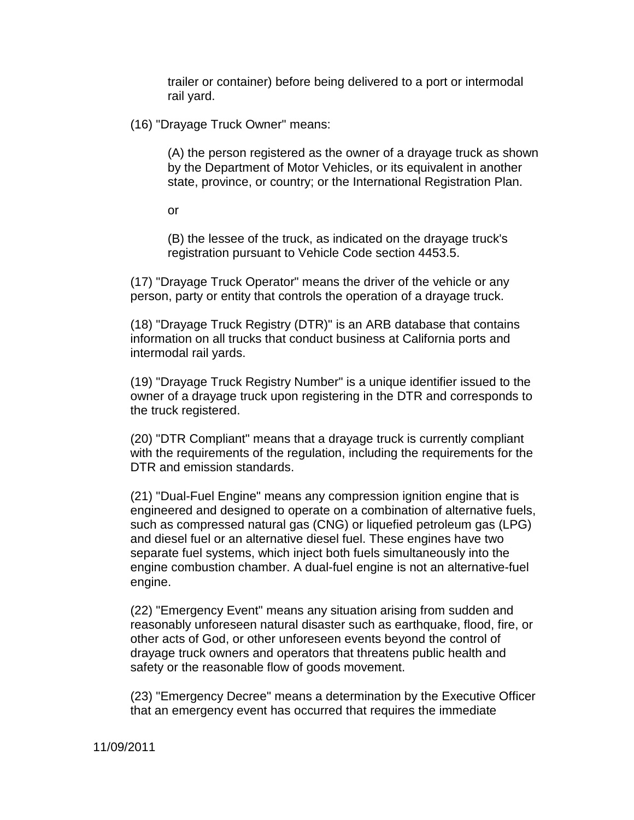trailer or container) before being delivered to a port or intermodal rail yard.

(16) "Drayage Truck Owner" means:

(A) the person registered as the owner of a drayage truck as shown by the Department of Motor Vehicles, or its equivalent in another state, province, or country; or the International Registration Plan.

or

(B) the lessee of the truck, as indicated on the drayage truck's registration pursuant to Vehicle Code section 4453.5.

(17) "Drayage Truck Operator" means the driver of the vehicle or any person, party or entity that controls the operation of a drayage truck.

(18) "Drayage Truck Registry (DTR)" is an ARB database that contains information on all trucks that conduct business at California ports and intermodal rail yards.

(19) "Drayage Truck Registry Number" is a unique identifier issued to the owner of a drayage truck upon registering in the DTR and corresponds to the truck registered.

(20) "DTR Compliant" means that a drayage truck is currently compliant with the requirements of the regulation, including the requirements for the DTR and emission standards.

(21) "Dual-Fuel Engine" means any compression ignition engine that is engineered and designed to operate on a combination of alternative fuels, such as compressed natural gas (CNG) or liquefied petroleum gas (LPG) and diesel fuel or an alternative diesel fuel. These engines have two separate fuel systems, which inject both fuels simultaneously into the engine combustion chamber. A dual-fuel engine is not an alternative-fuel engine.

(22) "Emergency Event" means any situation arising from sudden and reasonably unforeseen natural disaster such as earthquake, flood, fire, or other acts of God, or other unforeseen events beyond the control of drayage truck owners and operators that threatens public health and safety or the reasonable flow of goods movement.

(23) "Emergency Decree" means a determination by the Executive Officer that an emergency event has occurred that requires the immediate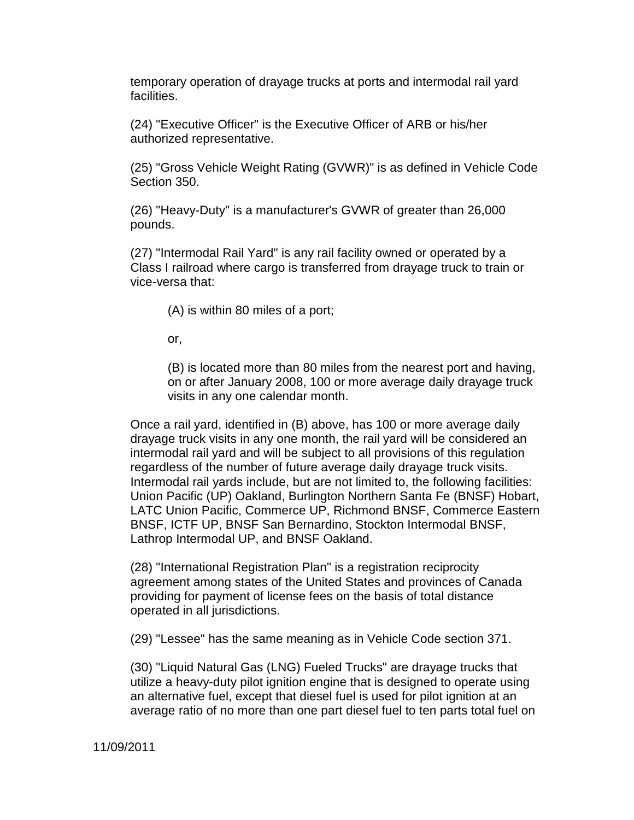temporary operation of drayage trucks at ports and intermodal rail yard facilities.

(24) "Executive Officer" is the Executive Officer of ARB or his/her authorized representative.

(25) "Gross Vehicle Weight Rating (GVWR)" is as defined in Vehicle Code Section 350.

(26) "Heavy-Duty" is a manufacturer's GVWR of greater than 26,000 pounds.

(27) "Intermodal Rail Yard" is any rail facility owned or operated by a Class I railroad where cargo is transferred from drayage truck to train or vice-versa that:

(A) is within 80 miles of a port;

or,

(B) is located more than 80 miles from the nearest port and having, on or after January 2008, 100 or more average daily drayage truck visits in any one calendar month.

Once a rail yard, identified in (B) above, has 100 or more average daily drayage truck visits in any one month, the rail yard will be considered an intermodal rail yard and will be subject to all provisions of this regulation regardless of the number of future average daily drayage truck visits. Intermodal rail yards include, but are not limited to, the following facilities: Union Pacific (UP) Oakland, Burlington Northern Santa Fe (BNSF) Hobart, LATC Union Pacific, Commerce UP, Richmond BNSF, Commerce Eastern BNSF, ICTF UP, BNSF San Bernardino, Stockton Intermodal BNSF, Lathrop Intermodal UP, and BNSF Oakland.

(28) "International Registration Plan" is a registration reciprocity agreement among states of the United States and provinces of Canada providing for payment of license fees on the basis of total distance operated in all jurisdictions.

(29) "Lessee" has the same meaning as in Vehicle Code section 371.

(30) "Liquid Natural Gas (LNG) Fueled Trucks" are drayage trucks that utilize a heavy-duty pilot ignition engine that is designed to operate using an alternative fuel, except that diesel fuel is used for pilot ignition at an average ratio of no more than one part diesel fuel to ten parts total fuel on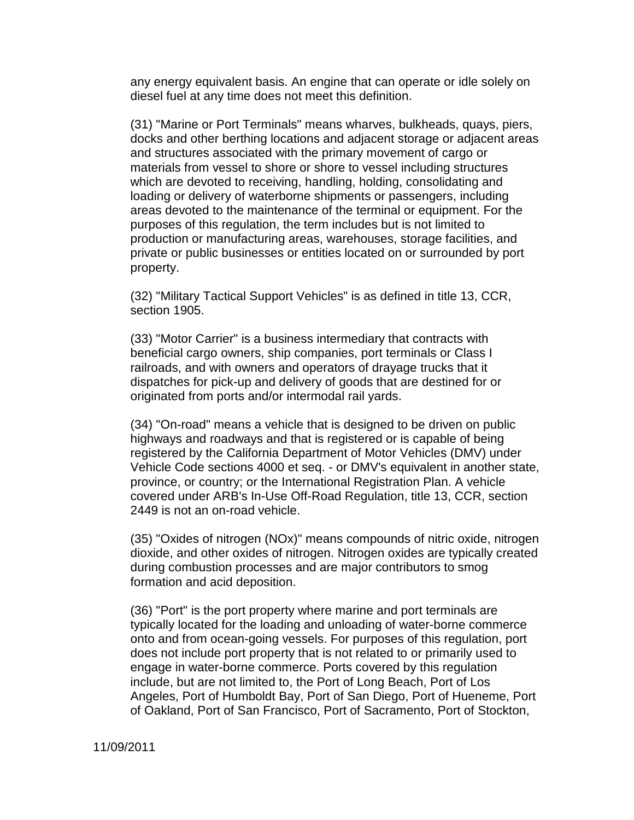any energy equivalent basis. An engine that can operate or idle solely on diesel fuel at any time does not meet this definition.

(31) "Marine or Port Terminals" means wharves, bulkheads, quays, piers, docks and other berthing locations and adjacent storage or adjacent areas and structures associated with the primary movement of cargo or materials from vessel to shore or shore to vessel including structures which are devoted to receiving, handling, holding, consolidating and loading or delivery of waterborne shipments or passengers, including areas devoted to the maintenance of the terminal or equipment. For the purposes of this regulation, the term includes but is not limited to production or manufacturing areas, warehouses, storage facilities, and private or public businesses or entities located on or surrounded by port property.

(32) "Military Tactical Support Vehicles" is as defined in title 13, CCR, section 1905.

(33) "Motor Carrier" is a business intermediary that contracts with beneficial cargo owners, ship companies, port terminals or Class I railroads, and with owners and operators of drayage trucks that it dispatches for pick-up and delivery of goods that are destined for or originated from ports and/or intermodal rail yards.

(34) "On-road" means a vehicle that is designed to be driven on public highways and roadways and that is registered or is capable of being registered by the California Department of Motor Vehicles (DMV) under Vehicle Code sections 4000 et seq. - or DMV's equivalent in another state, province, or country; or the International Registration Plan. A vehicle covered under ARB's In-Use Off-Road Regulation, title 13, CCR, section 2449 is not an on-road vehicle.

(35) "Oxides of nitrogen (NOx)" means compounds of nitric oxide, nitrogen dioxide, and other oxides of nitrogen. Nitrogen oxides are typically created during combustion processes and are major contributors to smog formation and acid deposition.

(36) "Port" is the port property where marine and port terminals are typically located for the loading and unloading of water-borne commerce onto and from ocean-going vessels. For purposes of this regulation, port does not include port property that is not related to or primarily used to engage in water-borne commerce. Ports covered by this regulation include, but are not limited to, the Port of Long Beach, Port of Los Angeles, Port of Humboldt Bay, Port of San Diego, Port of Hueneme, Port of Oakland, Port of San Francisco, Port of Sacramento, Port of Stockton,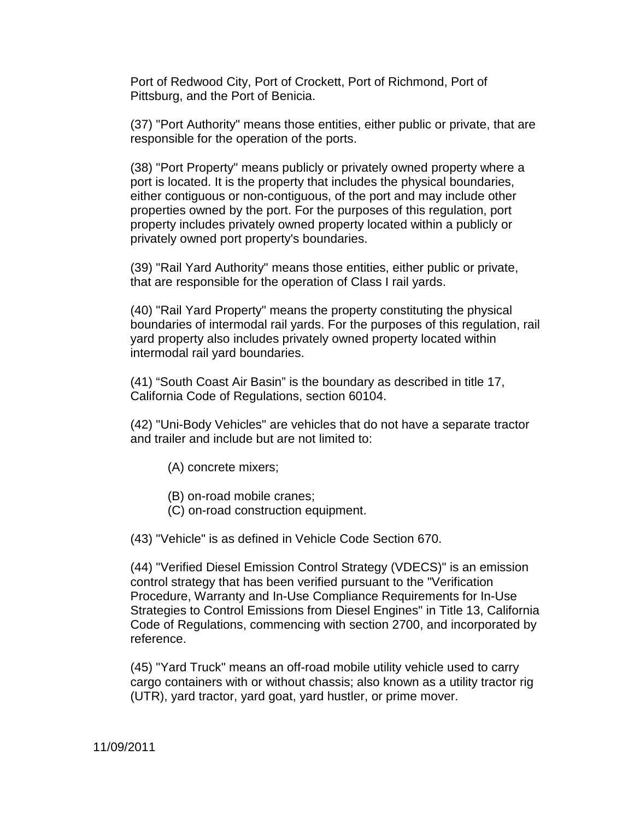Port of Redwood City, Port of Crockett, Port of Richmond, Port of Pittsburg, and the Port of Benicia.

(37) "Port Authority" means those entities, either public or private, that are responsible for the operation of the ports.

(38) "Port Property" means publicly or privately owned property where a port is located. It is the property that includes the physical boundaries, either contiguous or non-contiguous, of the port and may include other properties owned by the port. For the purposes of this regulation, port property includes privately owned property located within a publicly or privately owned port property's boundaries.

(39) "Rail Yard Authority" means those entities, either public or private, that are responsible for the operation of Class I rail yards.

(40) "Rail Yard Property" means the property constituting the physical boundaries of intermodal rail yards. For the purposes of this regulation, rail yard property also includes privately owned property located within intermodal rail yard boundaries.

(41) "South Coast Air Basin" is the boundary as described in title 17, California Code of Regulations, section 60104.

(42) "Uni-Body Vehicles" are vehicles that do not have a separate tractor and trailer and include but are not limited to:

- (A) concrete mixers;
- (B) on-road mobile cranes;
- (C) on-road construction equipment.

(43) "Vehicle" is as defined in Vehicle Code Section 670.

(44) "Verified Diesel Emission Control Strategy (VDECS)" is an emission control strategy that has been verified pursuant to the "Verification Procedure, Warranty and In-Use Compliance Requirements for In-Use Strategies to Control Emissions from Diesel Engines" in Title 13, California Code of Regulations, commencing with section 2700, and incorporated by reference.

(45) "Yard Truck" means an off-road mobile utility vehicle used to carry cargo containers with or without chassis; also known as a utility tractor rig (UTR), yard tractor, yard goat, yard hustler, or prime mover.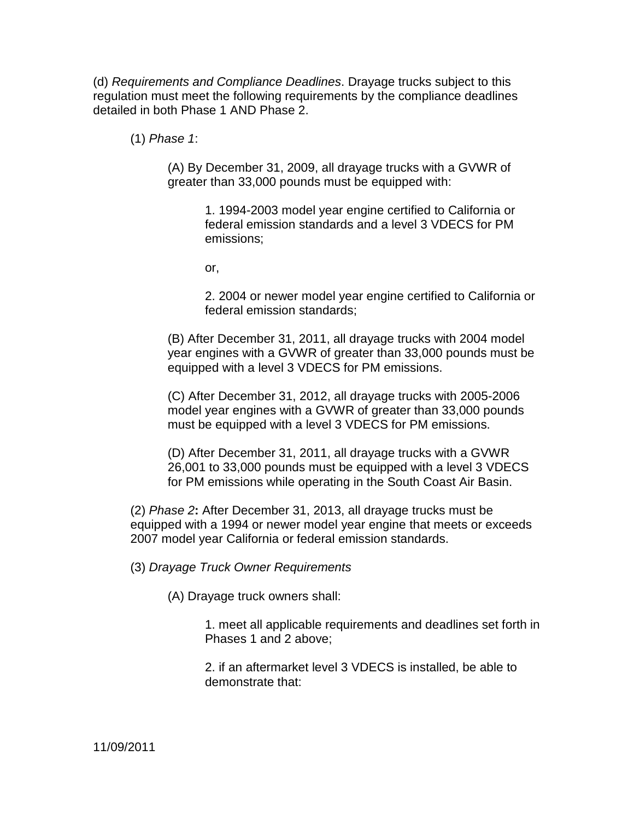(d) Requirements and Compliance Deadlines. Drayage trucks subject to this regulation must meet the following requirements by the compliance deadlines detailed in both Phase 1 AND Phase 2.

(1) Phase 1:

(A) By December 31, 2009, all drayage trucks with a GVWR of greater than 33,000 pounds must be equipped with:

> 1. 1994-2003 model year engine certified to California or federal emission standards and a level 3 VDECS for PM emissions;

or,

2. 2004 or newer model year engine certified to California or federal emission standards;

(B) After December 31, 2011, all drayage trucks with 2004 model year engines with a GVWR of greater than 33,000 pounds must be equipped with a level 3 VDECS for PM emissions.

(C) After December 31, 2012, all drayage trucks with 2005-2006 model year engines with a GVWR of greater than 33,000 pounds must be equipped with a level 3 VDECS for PM emissions.

(D) After December 31, 2011, all drayage trucks with a GVWR 26,001 to 33,000 pounds must be equipped with a level 3 VDECS for PM emissions while operating in the South Coast Air Basin.

(2) Phase 2**:** After December 31, 2013, all drayage trucks must be equipped with a 1994 or newer model year engine that meets or exceeds 2007 model year California or federal emission standards.

(3) Drayage Truck Owner Requirements

(A) Drayage truck owners shall:

1. meet all applicable requirements and deadlines set forth in Phases 1 and 2 above;

2. if an aftermarket level 3 VDECS is installed, be able to demonstrate that: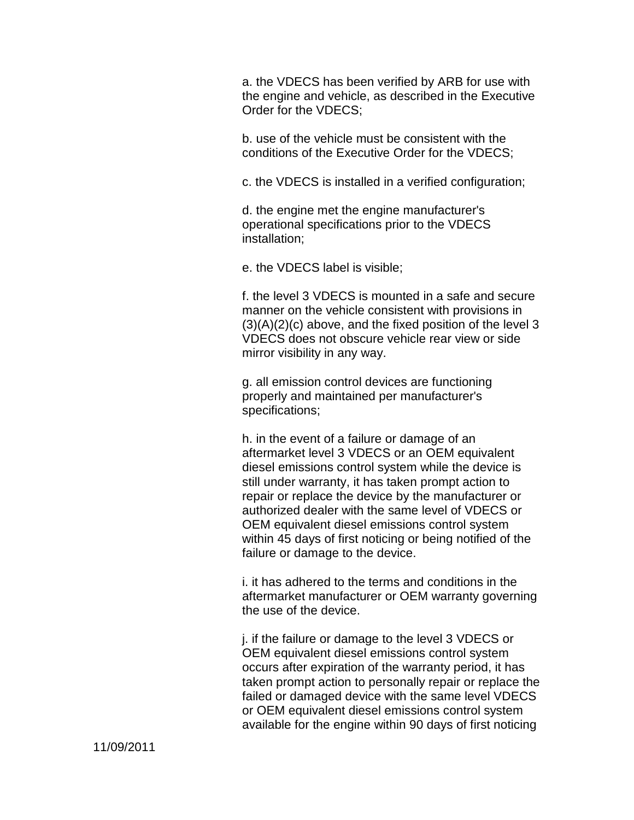a. the VDECS has been verified by ARB for use with the engine and vehicle, as described in the Executive Order for the VDECS;

b. use of the vehicle must be consistent with the conditions of the Executive Order for the VDECS;

c. the VDECS is installed in a verified configuration;

d. the engine met the engine manufacturer's operational specifications prior to the VDECS installation;

e. the VDECS label is visible;

f. the level 3 VDECS is mounted in a safe and secure manner on the vehicle consistent with provisions in  $(3)(A)(2)(c)$  above, and the fixed position of the level 3 VDECS does not obscure vehicle rear view or side mirror visibility in any way.

g. all emission control devices are functioning properly and maintained per manufacturer's specifications;

h. in the event of a failure or damage of an aftermarket level 3 VDECS or an OEM equivalent diesel emissions control system while the device is still under warranty, it has taken prompt action to repair or replace the device by the manufacturer or authorized dealer with the same level of VDECS or OEM equivalent diesel emissions control system within 45 days of first noticing or being notified of the failure or damage to the device.

i. it has adhered to the terms and conditions in the aftermarket manufacturer or OEM warranty governing the use of the device.

j. if the failure or damage to the level 3 VDECS or OEM equivalent diesel emissions control system occurs after expiration of the warranty period, it has taken prompt action to personally repair or replace the failed or damaged device with the same level VDECS or OEM equivalent diesel emissions control system available for the engine within 90 days of first noticing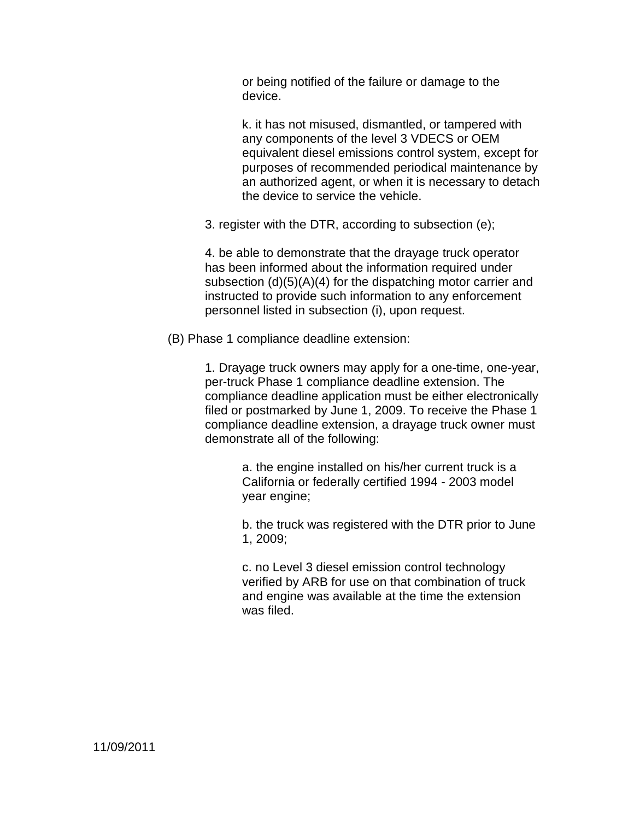or being notified of the failure or damage to the device.

k. it has not misused, dismantled, or tampered with any components of the level 3 VDECS or OEM equivalent diesel emissions control system, except for purposes of recommended periodical maintenance by an authorized agent, or when it is necessary to detach the device to service the vehicle.

3. register with the DTR, according to subsection (e);

4. be able to demonstrate that the drayage truck operator has been informed about the information required under subsection (d)(5)(A)(4) for the dispatching motor carrier and instructed to provide such information to any enforcement personnel listed in subsection (i), upon request.

(B) Phase 1 compliance deadline extension:

1. Drayage truck owners may apply for a one-time, one-year, per-truck Phase 1 compliance deadline extension. The compliance deadline application must be either electronically filed or postmarked by June 1, 2009. To receive the Phase 1 compliance deadline extension, a drayage truck owner must demonstrate all of the following:

> a. the engine installed on his/her current truck is a California or federally certified 1994 - 2003 model year engine;

b. the truck was registered with the DTR prior to June 1, 2009;

c. no Level 3 diesel emission control technology verified by ARB for use on that combination of truck and engine was available at the time the extension was filed.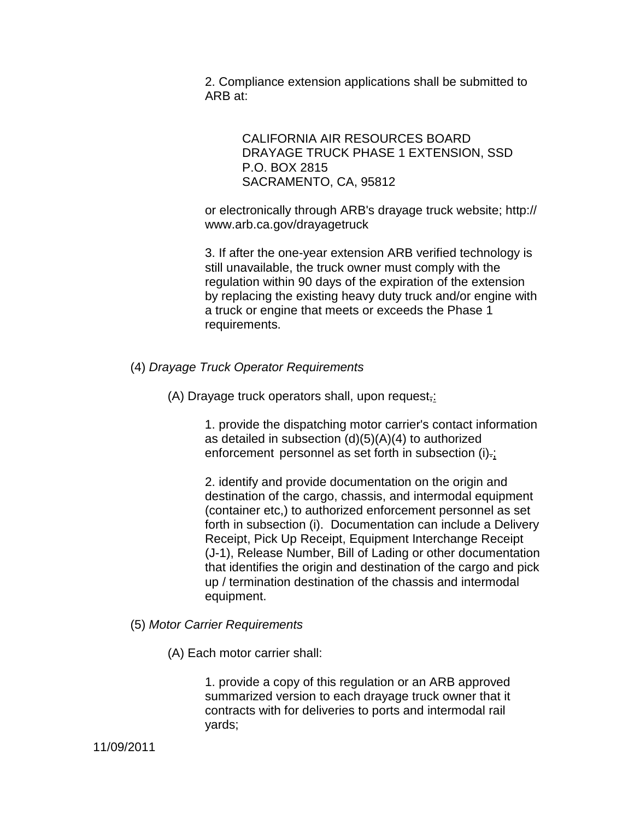2. Compliance extension applications shall be submitted to ARB at:

> CALIFORNIA AIR RESOURCES BOARD DRAYAGE TRUCK PHASE 1 EXTENSION, SSD P.O. BOX 2815 SACRAMENTO, CA, 95812

or electronically through ARB's drayage truck website; http:// www.arb.ca.gov/drayagetruck

3. If after the one-year extension ARB verified technology is still unavailable, the truck owner must comply with the regulation within 90 days of the expiration of the extension by replacing the existing heavy duty truck and/or engine with a truck or engine that meets or exceeds the Phase 1 requirements.

(4) Drayage Truck Operator Requirements

(A) Drayage truck operators shall, upon request,:

1. provide the dispatching motor carrier's contact information as detailed in subsection  $(d)(5)(A)(4)$  to authorized enforcement personnel as set forth in subsection (i)-;

2. identify and provide documentation on the origin and destination of the cargo, chassis, and intermodal equipment (container etc,) to authorized enforcement personnel as set forth in subsection (i). Documentation can include a Delivery Receipt, Pick Up Receipt, Equipment Interchange Receipt (J-1), Release Number, Bill of Lading or other documentation that identifies the origin and destination of the cargo and pick up / termination destination of the chassis and intermodal equipment.

- (5) Motor Carrier Requirements
	- (A) Each motor carrier shall:

1. provide a copy of this regulation or an ARB approved summarized version to each drayage truck owner that it contracts with for deliveries to ports and intermodal rail yards;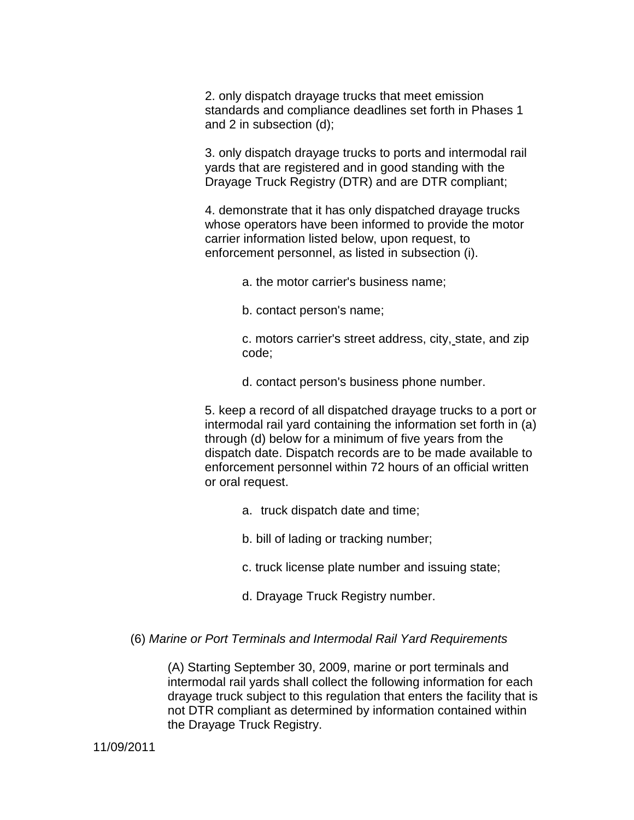2. only dispatch drayage trucks that meet emission standards and compliance deadlines set forth in Phases 1 and 2 in subsection (d);

3. only dispatch drayage trucks to ports and intermodal rail yards that are registered and in good standing with the Drayage Truck Registry (DTR) and are DTR compliant;

4. demonstrate that it has only dispatched drayage trucks whose operators have been informed to provide the motor carrier information listed below, upon request, to enforcement personnel, as listed in subsection (i).

a. the motor carrier's business name;

b. contact person's name;

c. motors carrier's street address, city, state, and zip code;

d. contact person's business phone number.

5. keep a record of all dispatched drayage trucks to a port or intermodal rail yard containing the information set forth in (a) through (d) below for a minimum of five years from the dispatch date. Dispatch records are to be made available to enforcement personnel within 72 hours of an official written or oral request.

a. truck dispatch date and time;

b. bill of lading or tracking number;

- c. truck license plate number and issuing state;
- d. Drayage Truck Registry number.

#### (6) Marine or Port Terminals and Intermodal Rail Yard Requirements

(A) Starting September 30, 2009, marine or port terminals and intermodal rail yards shall collect the following information for each drayage truck subject to this regulation that enters the facility that is not DTR compliant as determined by information contained within the Drayage Truck Registry.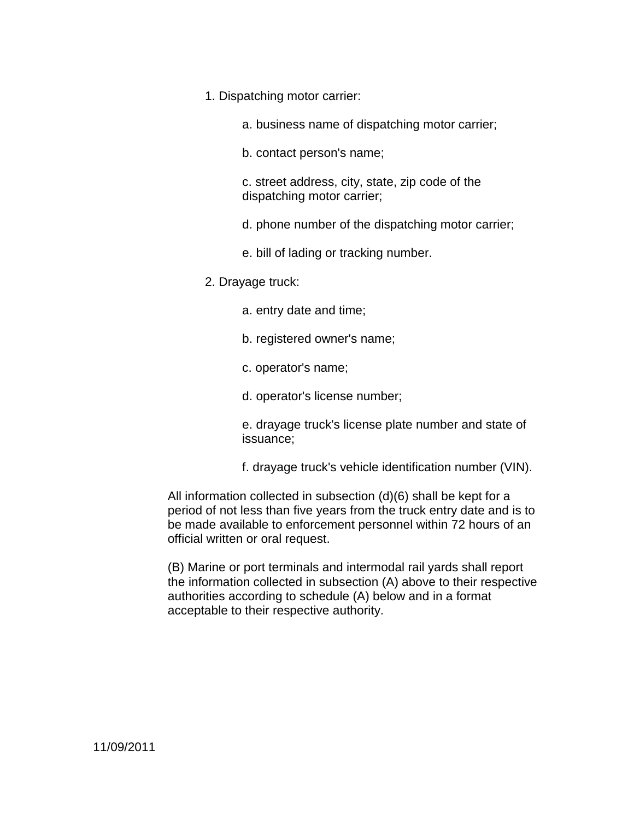1. Dispatching motor carrier:

a. business name of dispatching motor carrier;

b. contact person's name;

c. street address, city, state, zip code of the dispatching motor carrier;

d. phone number of the dispatching motor carrier;

e. bill of lading or tracking number.

2. Drayage truck:

a. entry date and time;

- b. registered owner's name;
- c. operator's name;
- d. operator's license number;

e. drayage truck's license plate number and state of issuance;

f. drayage truck's vehicle identification number (VIN).

All information collected in subsection (d)(6) shall be kept for a period of not less than five years from the truck entry date and is to be made available to enforcement personnel within 72 hours of an official written or oral request.

(B) Marine or port terminals and intermodal rail yards shall report the information collected in subsection (A) above to their respective authorities according to schedule (A) below and in a format acceptable to their respective authority.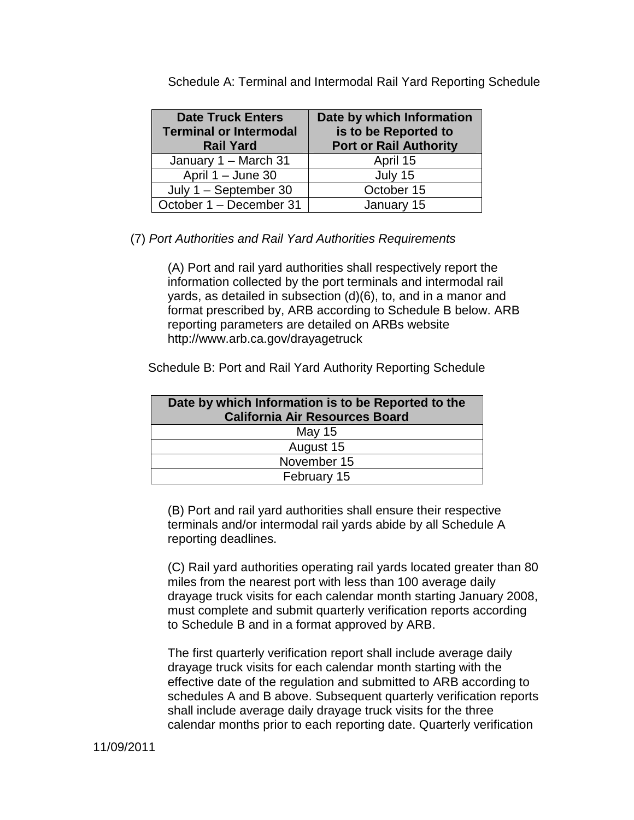| <b>Date Truck Enters</b><br><b>Terminal or Intermodal</b><br><b>Rail Yard</b> | Date by which Information<br>is to be Reported to<br><b>Port or Rail Authority</b> |
|-------------------------------------------------------------------------------|------------------------------------------------------------------------------------|
| January 1 - March 31                                                          | April 15                                                                           |
| April 1 - June 30                                                             | July 15                                                                            |
| July 1 - September 30                                                         | October 15                                                                         |
| October 1 - December 31                                                       | January 15                                                                         |

Schedule A: Terminal and Intermodal Rail Yard Reporting Schedule

(7) Port Authorities and Rail Yard Authorities Requirements

(A) Port and rail yard authorities shall respectively report the information collected by the port terminals and intermodal rail yards, as detailed in subsection (d)(6), to, and in a manor and format prescribed by, ARB according to Schedule B below. ARB reporting parameters are detailed on ARBs website http://www.arb.ca.gov/drayagetruck

Schedule B: Port and Rail Yard Authority Reporting Schedule

| Date by which Information is to be Reported to the<br><b>California Air Resources Board</b> |  |
|---------------------------------------------------------------------------------------------|--|
| May 15                                                                                      |  |
| August 15                                                                                   |  |
| November 15                                                                                 |  |
| February 15                                                                                 |  |

(B) Port and rail yard authorities shall ensure their respective terminals and/or intermodal rail yards abide by all Schedule A reporting deadlines.

(C) Rail yard authorities operating rail yards located greater than 80 miles from the nearest port with less than 100 average daily drayage truck visits for each calendar month starting January 2008, must complete and submit quarterly verification reports according to Schedule B and in a format approved by ARB.

The first quarterly verification report shall include average daily drayage truck visits for each calendar month starting with the effective date of the regulation and submitted to ARB according to schedules A and B above. Subsequent quarterly verification reports shall include average daily drayage truck visits for the three calendar months prior to each reporting date. Quarterly verification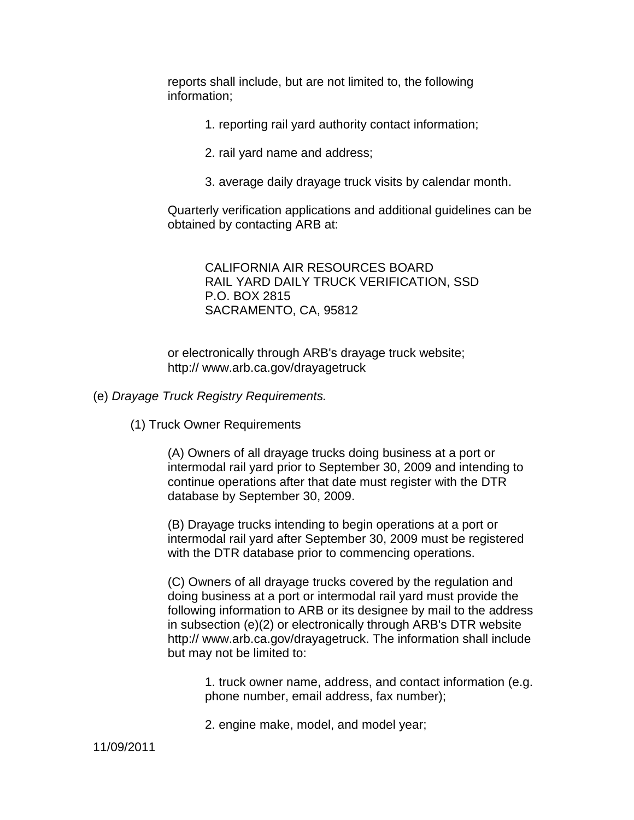reports shall include, but are not limited to, the following information;

- 1. reporting rail yard authority contact information;
- 2. rail yard name and address;
- 3. average daily drayage truck visits by calendar month.

Quarterly verification applications and additional guidelines can be obtained by contacting ARB at:

> CALIFORNIA AIR RESOURCES BOARD RAIL YARD DAILY TRUCK VERIFICATION, SSD P.O. BOX 2815 SACRAMENTO, CA, 95812

or electronically through ARB's drayage truck website; http:// www.arb.ca.gov/drayagetruck

- (e) Drayage Truck Registry Requirements.
	- (1) Truck Owner Requirements

(A) Owners of all drayage trucks doing business at a port or intermodal rail yard prior to September 30, 2009 and intending to continue operations after that date must register with the DTR database by September 30, 2009.

(B) Drayage trucks intending to begin operations at a port or intermodal rail yard after September 30, 2009 must be registered with the DTR database prior to commencing operations.

(C) Owners of all drayage trucks covered by the regulation and doing business at a port or intermodal rail yard must provide the following information to ARB or its designee by mail to the address in subsection (e)(2) or electronically through ARB's DTR website http:// www.arb.ca.gov/drayagetruck. The information shall include but may not be limited to:

1. truck owner name, address, and contact information (e.g. phone number, email address, fax number);

2. engine make, model, and model year;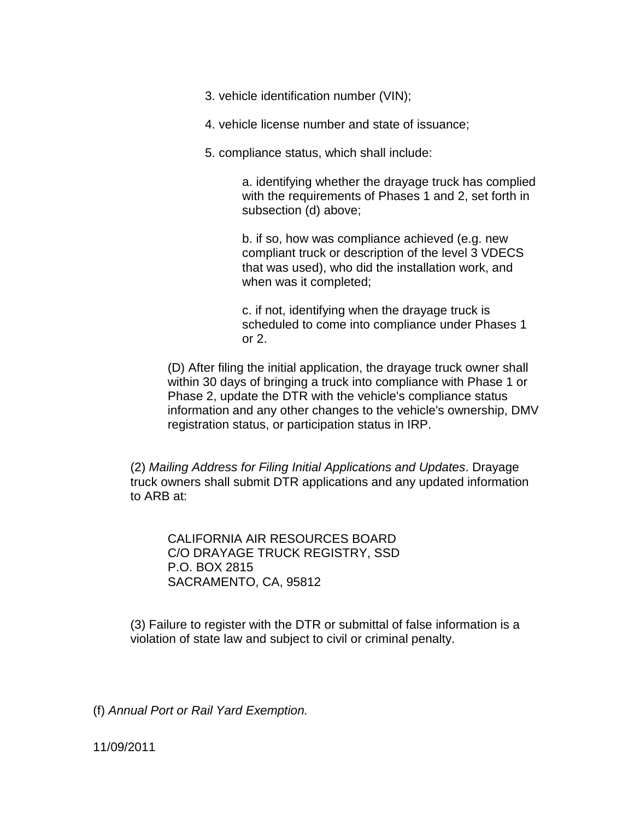3. vehicle identification number (VIN);

4. vehicle license number and state of issuance;

5. compliance status, which shall include:

a. identifying whether the drayage truck has complied with the requirements of Phases 1 and 2, set forth in subsection (d) above;

b. if so, how was compliance achieved (e.g. new compliant truck or description of the level 3 VDECS that was used), who did the installation work, and when was it completed;

c. if not, identifying when the drayage truck is scheduled to come into compliance under Phases 1 or 2.

(D) After filing the initial application, the drayage truck owner shall within 30 days of bringing a truck into compliance with Phase 1 or Phase 2, update the DTR with the vehicle's compliance status information and any other changes to the vehicle's ownership, DMV registration status, or participation status in IRP.

(2) Mailing Address for Filing Initial Applications and Updates. Drayage truck owners shall submit DTR applications and any updated information to ARB at:

CALIFORNIA AIR RESOURCES BOARD C/O DRAYAGE TRUCK REGISTRY, SSD P.O. BOX 2815 SACRAMENTO, CA, 95812

(3) Failure to register with the DTR or submittal of false information is a violation of state law and subject to civil or criminal penalty.

(f) Annual Port or Rail Yard Exemption.

11/09/2011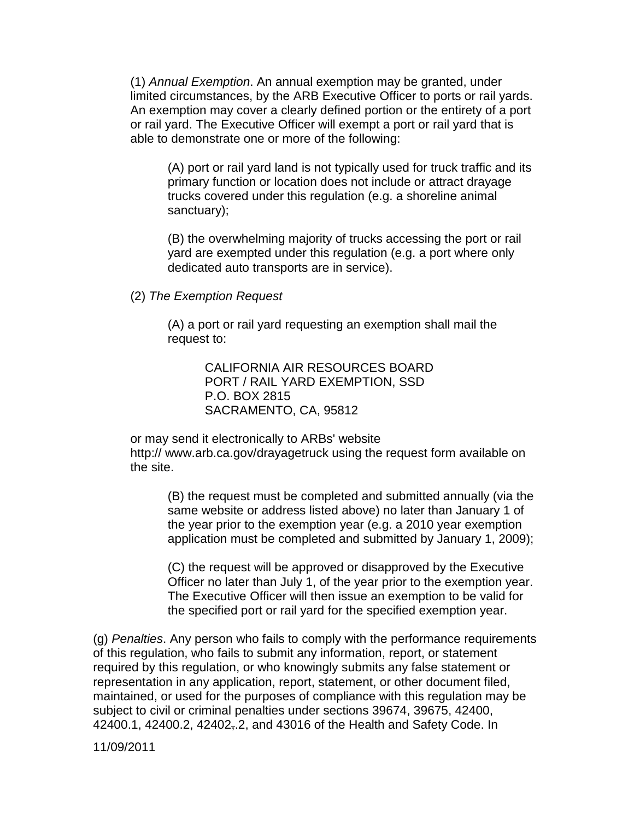(1) Annual Exemption. An annual exemption may be granted, under limited circumstances, by the ARB Executive Officer to ports or rail yards. An exemption may cover a clearly defined portion or the entirety of a port or rail yard. The Executive Officer will exempt a port or rail yard that is able to demonstrate one or more of the following:

(A) port or rail yard land is not typically used for truck traffic and its primary function or location does not include or attract drayage trucks covered under this regulation (e.g. a shoreline animal sanctuary);

(B) the overwhelming majority of trucks accessing the port or rail yard are exempted under this regulation (e.g. a port where only dedicated auto transports are in service).

(2) The Exemption Request

(A) a port or rail yard requesting an exemption shall mail the request to:

> CALIFORNIA AIR RESOURCES BOARD PORT / RAIL YARD EXEMPTION, SSD P.O. BOX 2815 SACRAMENTO, CA, 95812

or may send it electronically to ARBs' website http:// www.arb.ca.gov/drayagetruck using the request form available on the site.

(B) the request must be completed and submitted annually (via the same website or address listed above) no later than January 1 of the year prior to the exemption year (e.g. a 2010 year exemption application must be completed and submitted by January 1, 2009);

(C) the request will be approved or disapproved by the Executive Officer no later than July 1, of the year prior to the exemption year. The Executive Officer will then issue an exemption to be valid for the specified port or rail yard for the specified exemption year.

(g) Penalties. Any person who fails to comply with the performance requirements of this regulation, who fails to submit any information, report, or statement required by this regulation, or who knowingly submits any false statement or representation in any application, report, statement, or other document filed, maintained, or used for the purposes of compliance with this regulation may be subject to civil or criminal penalties under sections 39674, 39675, 42400, 42400.1, 42400.2, 42402,.2, and 43016 of the Health and Safety Code. In

11/09/2011